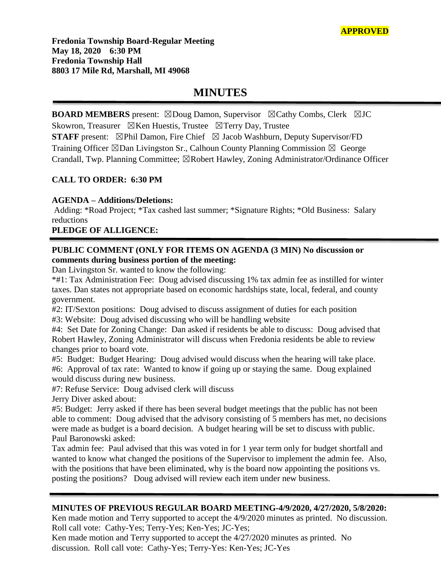**Fredonia Township Board-Regular Meeting May 18, 2020 6:30 PM Fredonia Township Hall 8803 17 Mile Rd, Marshall, MI 49068**

# **MINUTES**

**BOARD MEMBERS** present: ⊠Doug Damon, Supervisor ⊠Cathy Combs, Clerk ⊠JC Skowron, Treasurer  $\boxtimes$ Ken Huestis, Trustee  $\boxtimes$ Terry Day, Trustee

**STAFF** present: ⊠Phil Damon, Fire Chief ⊠ Jacob Washburn, Deputy Supervisor/FD Training Officer  $\boxtimes$ Dan Livingston Sr., Calhoun County Planning Commission  $\boxtimes$  George Crandall, Twp. Planning Committee; ☒Robert Hawley, Zoning Administrator/Ordinance Officer

## **CALL TO ORDER: 6:30 PM**

#### **AGENDA – Additions/Deletions:**

Adding: \*Road Project; \*Tax cashed last summer; \*Signature Rights; \*Old Business: Salary reductions

#### **PLEDGE OF ALLIGENCE:**

### **PUBLIC COMMENT (ONLY FOR ITEMS ON AGENDA (3 MIN) No discussion or comments during business portion of the meeting:**

Dan Livingston Sr. wanted to know the following:

\*#1: Tax Administration Fee: Doug advised discussing 1% tax admin fee as instilled for winter taxes. Dan states not appropriate based on economic hardships state, local, federal, and county government.

#2: IT/Sexton positions: Doug advised to discuss assignment of duties for each position #3: Website: Doug advised discussing who will be handling website

#4: Set Date for Zoning Change: Dan asked if residents be able to discuss: Doug advised that Robert Hawley, Zoning Administrator will discuss when Fredonia residents be able to review changes prior to board vote.

#5: Budget: Budget Hearing: Doug advised would discuss when the hearing will take place. #6: Approval of tax rate: Wanted to know if going up or staying the same. Doug explained would discuss during new business.

#7: Refuse Service: Doug advised clerk will discuss

Jerry Diver asked about:

#5: Budget: Jerry asked if there has been several budget meetings that the public has not been able to comment: Doug advised that the advisory consisting of 5 members has met, no decisions were made as budget is a board decision. A budget hearing will be set to discuss with public. Paul Baronowski asked:

Tax admin fee: Paul advised that this was voted in for 1 year term only for budget shortfall and wanted to know what changed the positions of the Supervisor to implement the admin fee. Also, with the positions that have been eliminated, why is the board now appointing the positions vs. posting the positions? Doug advised will review each item under new business.

#### **MINUTES OF PREVIOUS REGULAR BOARD MEETING-4/9/2020, 4/27/2020, 5/8/2020:**

Ken made motion and Terry supported to accept the 4/9/2020 minutes as printed. No discussion. Roll call vote: Cathy-Yes; Terry-Yes; Ken-Yes; JC-Yes;

Ken made motion and Terry supported to accept the 4/27/2020 minutes as printed. No discussion. Roll call vote: Cathy-Yes; Terry-Yes: Ken-Yes; JC-Yes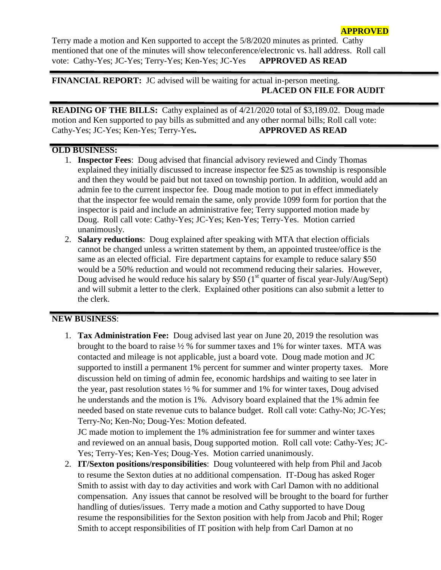Terry made a motion and Ken supported to accept the 5/8/2020 minutes as printed. Cathy mentioned that one of the minutes will show teleconference/electronic vs. hall address. Roll call vote: Cathy-Yes; JC-Yes; Terry-Yes; Ken-Yes; JC-Yes **APPROVED AS READ**

**FINANCIAL REPORT:** JC advised will be waiting for actual in-person meeting. **PLACED ON FILE FOR AUDIT**

**READING OF THE BILLS:** Cathy explained as of 4/21/2020 total of \$3,189.02. Doug made motion and Ken supported to pay bills as submitted and any other normal bills; Roll call vote: Cathy-Yes; JC-Yes; Ken-Yes; Terry-Yes**. APPROVED AS READ**

#### **OLD BUSINESS:**

- 1. **Inspector Fees**: Doug advised that financial advisory reviewed and Cindy Thomas explained they initially discussed to increase inspector fee \$25 as township is responsible and then they would be paid but not taxed on township portion. In addition, would add an admin fee to the current inspector fee. Doug made motion to put in effect immediately that the inspector fee would remain the same, only provide 1099 form for portion that the inspector is paid and include an administrative fee; Terry supported motion made by Doug. Roll call vote: Cathy-Yes; JC-Yes; Ken-Yes; Terry-Yes. Motion carried unanimously.
- 2. **Salary reductions**: Doug explained after speaking with MTA that election officials cannot be changed unless a written statement by them, an appointed trustee/office is the same as an elected official. Fire department captains for example to reduce salary \$50 would be a 50% reduction and would not recommend reducing their salaries. However, Doug advised he would reduce his salary by \$50 ( $1<sup>st</sup>$  quarter of fiscal year-July/Aug/Sept) and will submit a letter to the clerk. Explained other positions can also submit a letter to the clerk.

## **NEW BUSINESS**:

1. **Tax Administration Fee:** Doug advised last year on June 20, 2019 the resolution was brought to the board to raise ½ % for summer taxes and 1% for winter taxes. MTA was contacted and mileage is not applicable, just a board vote. Doug made motion and JC supported to instill a permanent 1% percent for summer and winter property taxes. More discussion held on timing of admin fee, economic hardships and waiting to see later in the year, past resolution states  $\frac{1}{2}$  % for summer and 1% for winter taxes, Doug advised he understands and the motion is 1%. Advisory board explained that the 1% admin fee needed based on state revenue cuts to balance budget. Roll call vote: Cathy-No; JC-Yes; Terry-No; Ken-No; Doug-Yes: Motion defeated.

JC made motion to implement the 1% administration fee for summer and winter taxes and reviewed on an annual basis, Doug supported motion. Roll call vote: Cathy-Yes; JC-Yes; Terry-Yes; Ken-Yes; Doug-Yes. Motion carried unanimously.

2. **IT/Sexton positions/responsibilities**: Doug volunteered with help from Phil and Jacob to resume the Sexton duties at no additional compensation. IT-Doug has asked Roger Smith to assist with day to day activities and work with Carl Damon with no additional compensation. Any issues that cannot be resolved will be brought to the board for further handling of duties/issues. Terry made a motion and Cathy supported to have Doug resume the responsibilities for the Sexton position with help from Jacob and Phil; Roger Smith to accept responsibilities of IT position with help from Carl Damon at no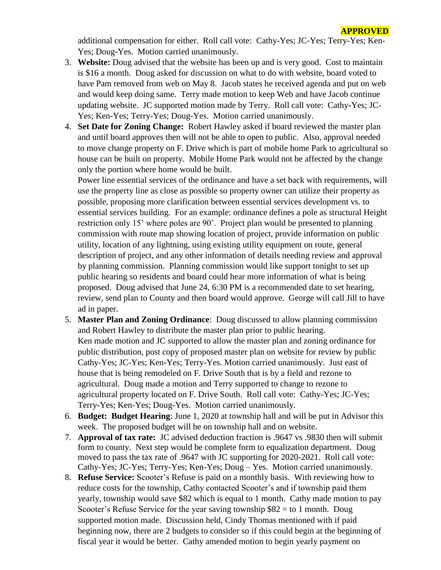additional compensation for either. Roll call vote: Cathy-Yes; JC-Yes; Terry-Yes; Ken-Yes; Doug-Yes. Motion carried unanimously.

- 3. **Website:** Doug advised that the website has been up and is very good. Cost to maintain is \$16 a month. Doug asked for discussion on what to do with website, board voted to have Pam removed from web on May 8. Jacob states he received agenda and put on web and would keep doing same. Terry made motion to keep Web and have Jacob continue updating website. JC supported motion made by Terry. Roll call vote: Cathy-Yes; JC-Yes; Ken-Yes; Terry-Yes; Doug-Yes. Motion carried unanimously.
- 4. **Set Date for Zoning Change:** Robert Hawley asked if board reviewed the master plan and until board approves then will not be able to open to public. Also, approval needed to move change property on F. Drive which is part of mobile home Park to agricultural so house can be built on property. Mobile Home Park would not be affected by the change only the portion where home would be built.

Power line essential services of the ordinance and have a set back with requirements, will use the property line as close as possible so property owner can utilize their property as possible, proposing more clarification between essential services development vs. to essential services building. For an example: ordinance defines a pole as structural Height restriction only 15' where poles are 90'. Project plan would be presented to planning commission with route map showing location of project, provide information on public utility, location of any lightning, using existing utility equipment on route, general description of project, and any other information of details needing review and approval by planning commission. Planning commission would like support tonight to set up public hearing so residents and board could hear more information of what is being proposed. Doug advised that June 24, 6:30 PM is a recommended date to set hearing, review, send plan to County and then board would approve. George will call Jill to have ad in paper.

- 5. **Master Plan and Zoning Ordinance**: Doug discussed to allow planning commission and Robert Hawley to distribute the master plan prior to public hearing. Ken made motion and JC supported to allow the master plan and zoning ordinance for public distribution, post copy of proposed master plan on website for review by public Cathy-Yes; JC-Yes; Ken-Yes; Terry-Yes. Motion carried unanimously. Just east of house that is being remodeled on F. Drive South that is by a field and rezone to agricultural. Doug made a motion and Terry supported to change to rezone to agricultural property located on F. Drive South. Roll call vote: Cathy-Yes; JC-Yes; Terry-Yes; Ken-Yes; Doug-Yes. Motion carried unanimously.
- 6. **Budget: Budget Hearing**: June 1, 2020 at township hall and will be put in Advisor this week. The proposed budget will be on township hall and on website.
- 7. **Approval of tax rate:** JC advised deduction fraction is .9647 vs .9830 then will submit form to county. Next step would be complete form to equalization department. Doug moved to pass the tax rate of .9647 with JC supporting for 2020-2021. Roll call vote: Cathy-Yes; JC-Yes; Terry-Yes; Ken-Yes; Doug – Yes. Motion carried unanimously.
- 8. **Refuse Service:** Scooter's Refuse is paid on a monthly basis. With reviewing how to reduce costs for the township, Cathy contacted Scooter's and if township paid them yearly, township would save \$82 which is equal to 1 month. Cathy made motion to pay Scooter's Refuse Service for the year saving township  $$82 =$  to 1 month. Doug supported motion made. Discussion held, Cindy Thomas mentioned with if paid beginning now, there are 2 budgets to consider so if this could begin at the beginning of fiscal year it would be better. Cathy amended motion to begin yearly payment on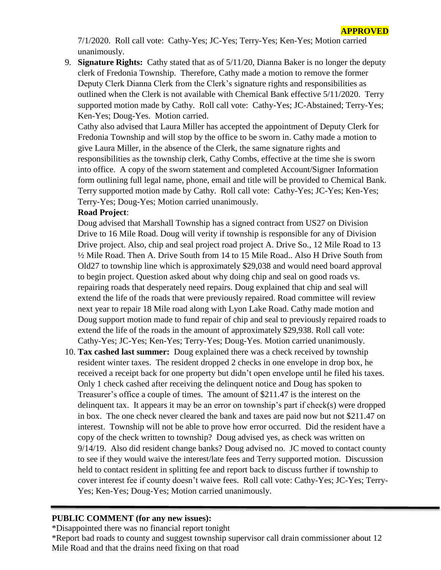7/1/2020. Roll call vote: Cathy-Yes; JC-Yes; Terry-Yes; Ken-Yes; Motion carried unanimously.

9. **Signature Rights:** Cathy stated that as of 5/11/20, Dianna Baker is no longer the deputy clerk of Fredonia Township. Therefore, Cathy made a motion to remove the former Deputy Clerk Dianna Clerk from the Clerk's signature rights and responsibilities as outlined when the Clerk is not available with Chemical Bank effective 5/11/2020. Terry supported motion made by Cathy. Roll call vote: Cathy-Yes; JC-Abstained; Terry-Yes; Ken-Yes; Doug-Yes. Motion carried.

Cathy also advised that Laura Miller has accepted the appointment of Deputy Clerk for Fredonia Township and will stop by the office to be sworn in. Cathy made a motion to give Laura Miller, in the absence of the Clerk, the same signature rights and responsibilities as the township clerk, Cathy Combs, effective at the time she is sworn into office. A copy of the sworn statement and completed Account/Signer Information form outlining full legal name, phone, email and title will be provided to Chemical Bank. Terry supported motion made by Cathy. Roll call vote: Cathy-Yes; JC-Yes; Ken-Yes; Terry-Yes; Doug-Yes; Motion carried unanimously.

#### **Road Project**:

Doug advised that Marshall Township has a signed contract from US27 on Division Drive to 16 Mile Road. Doug will verity if township is responsible for any of Division Drive project. Also, chip and seal project road project A. Drive So., 12 Mile Road to 13 ½ Mile Road. Then A. Drive South from 14 to 15 Mile Road.. Also H Drive South from Old27 to township line which is approximately \$29,038 and would need board approval to begin project. Question asked about why doing chip and seal on good roads vs. repairing roads that desperately need repairs. Doug explained that chip and seal will extend the life of the roads that were previously repaired. Road committee will review next year to repair 18 Mile road along with Lyon Lake Road. Cathy made motion and Doug support motion made to fund repair of chip and seal to previously repaired roads to extend the life of the roads in the amount of approximately \$29,938. Roll call vote: Cathy-Yes; JC-Yes; Ken-Yes; Terry-Yes; Doug-Yes. Motion carried unanimously.

10. **Tax cashed last summer:** Doug explained there was a check received by township resident winter taxes. The resident dropped 2 checks in one envelope in drop box, he received a receipt back for one property but didn't open envelope until he filed his taxes. Only 1 check cashed after receiving the delinquent notice and Doug has spoken to Treasurer's office a couple of times. The amount of \$211.47 is the interest on the delinquent tax. It appears it may be an error on township's part if check(s) were dropped in box. The one check never cleared the bank and taxes are paid now but not \$211.47 on interest. Township will not be able to prove how error occurred. Did the resident have a copy of the check written to township? Doug advised yes, as check was written on 9/14/19. Also did resident change banks? Doug advised no. JC moved to contact county to see if they would waive the interest/late fees and Terry supported motion. Discussion held to contact resident in splitting fee and report back to discuss further if township to cover interest fee if county doesn't waive fees. Roll call vote: Cathy-Yes; JC-Yes; Terry-Yes; Ken-Yes; Doug-Yes; Motion carried unanimously.

#### **PUBLIC COMMENT (for any new issues):**

\*Disappointed there was no financial report tonight

\*Report bad roads to county and suggest township supervisor call drain commissioner about 12 Mile Road and that the drains need fixing on that road